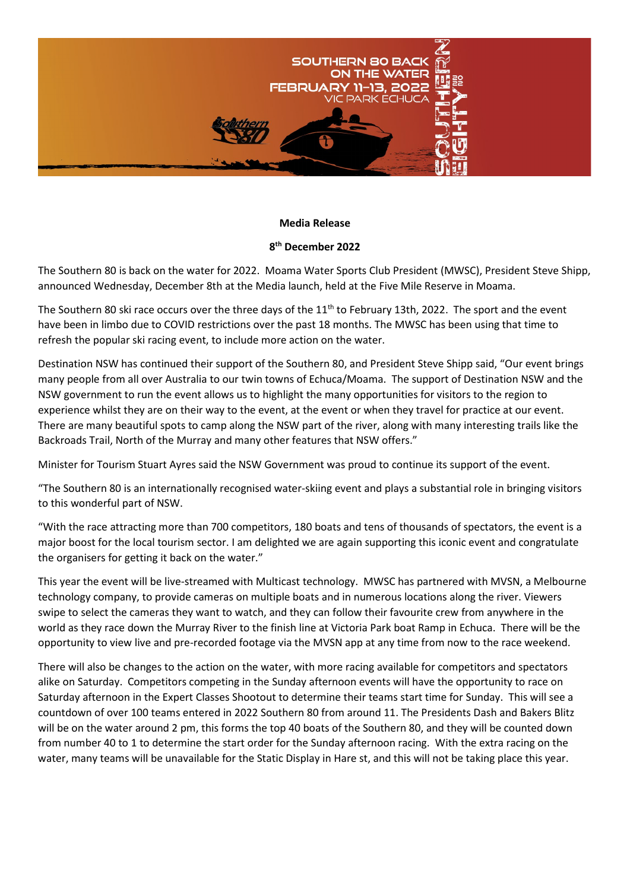

## **Media Release**

## **8th December 2022**

The Southern 80 is back on the water for 2022. Moama Water Sports Club President (MWSC), President Steve Shipp, announced Wednesday, December 8th at the Media launch, held at the Five Mile Reserve in Moama.

The Southern 80 ski race occurs over the three days of the 11<sup>th</sup> to February 13th, 2022. The sport and the event have been in limbo due to COVID restrictions over the past 18 months. The MWSC has been using that time to refresh the popular ski racing event, to include more action on the water.

Destination NSW has continued their support of the Southern 80, and President Steve Shipp said, "Our event brings many people from all over Australia to our twin towns of Echuca/Moama. The support of Destination NSW and the NSW government to run the event allows us to highlight the many opportunities for visitors to the region to experience whilst they are on their way to the event, at the event or when they travel for practice at our event. There are many beautiful spots to camp along the NSW part of the river, along with many interesting trails like the Backroads Trail, North of the Murray and many other features that NSW offers."

Minister for Tourism Stuart Ayres said the NSW Government was proud to continue its support of the event.

"The Southern 80 is an internationally recognised water-skiing event and plays a substantial role in bringing visitors to this wonderful part of NSW.

"With the race attracting more than 700 competitors, 180 boats and tens of thousands of spectators, the event is a major boost for the local tourism sector. I am delighted we are again supporting this iconic event and congratulate the organisers for getting it back on the water."

This year the event will be live-streamed with Multicast technology. MWSC has partnered with MVSN, a Melbourne technology company, to provide cameras on multiple boats and in numerous locations along the river. Viewers swipe to select the cameras they want to watch, and they can follow their favourite crew from anywhere in the world as they race down the Murray River to the finish line at Victoria Park boat Ramp in Echuca. There will be the opportunity to view live and pre-recorded footage via the MVSN app at any time from now to the race weekend.

There will also be changes to the action on the water, with more racing available for competitors and spectators alike on Saturday. Competitors competing in the Sunday afternoon events will have the opportunity to race on Saturday afternoon in the Expert Classes Shootout to determine their teams start time for Sunday. This will see a countdown of over 100 teams entered in 2022 Southern 80 from around 11. The Presidents Dash and Bakers Blitz will be on the water around 2 pm, this forms the top 40 boats of the Southern 80, and they will be counted down from number 40 to 1 to determine the start order for the Sunday afternoon racing. With the extra racing on the water, many teams will be unavailable for the Static Display in Hare st, and this will not be taking place this year.